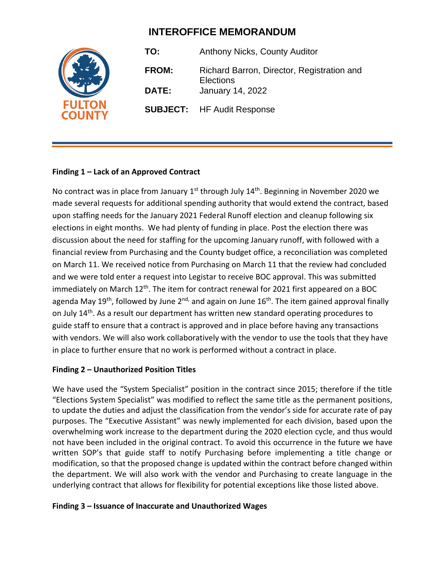# **INTEROFFICE MEMORANDUM**



**TO:** Anthony Nicks, County Auditor **FROM:** Richard Barron, Director, Registration and **Elections DATE:** January 14, 2022 **SUBJECT:** HF Audit Response

## **Finding 1 – Lack of an Approved Contract**

No contract was in place from January 1<sup>st</sup> through July 14<sup>th</sup>. Beginning in November 2020 we made several requests for additional spending authority that would extend the contract, based upon staffing needs for the January 2021 Federal Runoff election and cleanup following six elections in eight months. We had plenty of funding in place. Post the election there was discussion about the need for staffing for the upcoming January runoff, with followed with a financial review from Purchasing and the County budget office, a reconciliation was completed on March 11. We received notice from Purchasing on March 11 that the review had concluded and we were told enter a request into Legistar to receive BOC approval. This was submitted immediately on March 12<sup>th</sup>. The item for contract renewal for 2021 first appeared on a BOC agenda May 19<sup>th</sup>, followed by June 2<sup>nd,</sup> and again on June 16<sup>th</sup>. The item gained approval finally on July 14<sup>th</sup>. As a result our department has written new standard operating procedures to guide staff to ensure that a contract is approved and in place before having any transactions with vendors. We will also work collaboratively with the vendor to use the tools that they have in place to further ensure that no work is performed without a contract in place.

#### **Finding 2 – Unauthorized Position Titles**

We have used the "System Specialist" position in the contract since 2015; therefore if the title "Elections System Specialist" was modified to reflect the same title as the permanent positions, to update the duties and adjust the classification from the vendor's side for accurate rate of pay purposes. The "Executive Assistant" was newly implemented for each division, based upon the overwhelming work increase to the department during the 2020 election cycle, and thus would not have been included in the original contract. To avoid this occurrence in the future we have written SOP's that guide staff to notify Purchasing before implementing a title change or modification, so that the proposed change is updated within the contract before changed within the department. We will also work with the vendor and Purchasing to create language in the underlying contract that allows for flexibility for potential exceptions like those listed above.

#### **Finding 3 – Issuance of Inaccurate and Unauthorized Wages**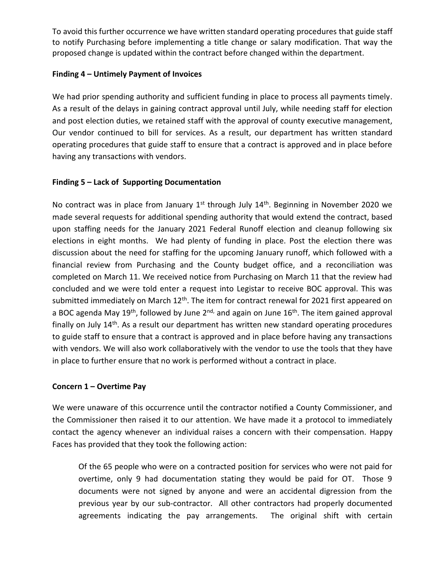To avoid this further occurrence we have written standard operating procedures that guide staff to notify Purchasing before implementing a title change or salary modification. That way the proposed change is updated within the contract before changed within the department.

## **Finding 4 – Untimely Payment of Invoices**

We had prior spending authority and sufficient funding in place to process all payments timely. As a result of the delays in gaining contract approval until July, while needing staff for election and post election duties, we retained staff with the approval of county executive management, Our vendor continued to bill for services. As a result, our department has written standard operating procedures that guide staff to ensure that a contract is approved and in place before having any transactions with vendors.

### **Finding 5 – Lack of Supporting Documentation**

No contract was in place from January  $1^{st}$  through July  $14^{th}$ . Beginning in November 2020 we made several requests for additional spending authority that would extend the contract, based upon staffing needs for the January 2021 Federal Runoff election and cleanup following six elections in eight months. We had plenty of funding in place. Post the election there was discussion about the need for staffing for the upcoming January runoff, which followed with a financial review from Purchasing and the County budget office, and a reconciliation was completed on March 11. We received notice from Purchasing on March 11 that the review had concluded and we were told enter a request into Legistar to receive BOC approval. This was submitted immediately on March 12<sup>th</sup>. The item for contract renewal for 2021 first appeared on a BOC agenda May 19<sup>th</sup>, followed by June 2<sup>nd,</sup> and again on June 16<sup>th</sup>. The item gained approval finally on July 14th. As a result our department has written new standard operating procedures to guide staff to ensure that a contract is approved and in place before having any transactions with vendors. We will also work collaboratively with the vendor to use the tools that they have in place to further ensure that no work is performed without a contract in place.

#### **Concern 1 – Overtime Pay**

We were unaware of this occurrence until the contractor notified a County Commissioner, and the Commissioner then raised it to our attention. We have made it a protocol to immediately contact the agency whenever an individual raises a concern with their compensation. Happy Faces has provided that they took the following action:

Of the 65 people who were on a contracted position for services who were not paid for overtime, only 9 had documentation stating they would be paid for OT. Those 9 documents were not signed by anyone and were an accidental digression from the previous year by our sub-contractor. All other contractors had properly documented agreements indicating the pay arrangements. The original shift with certain